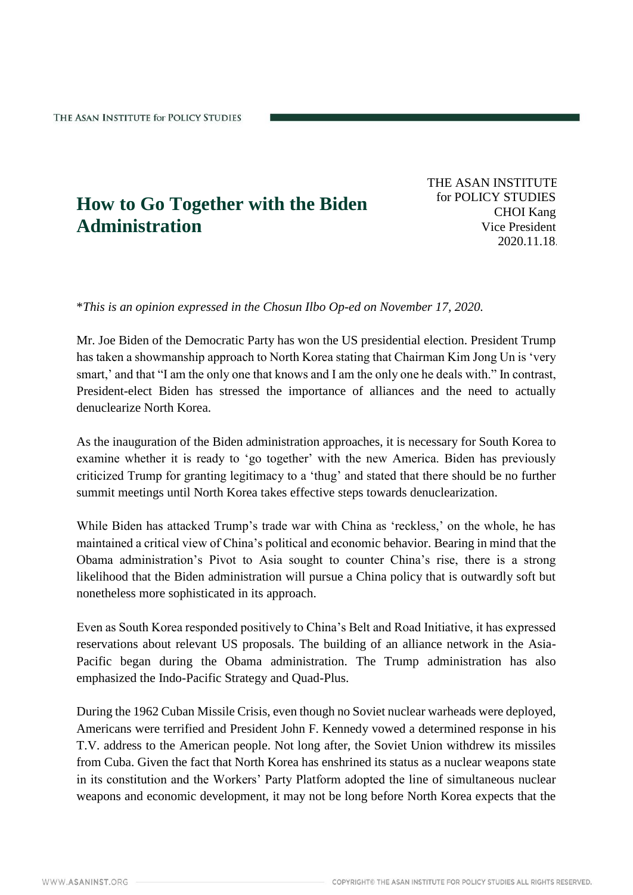## **How to Go Together with the Biden Administration**

THE ASAN INSTITUTE for POLICY STUDIES CHOI Kang Vice President 2020.11.18.

\**This is an opinion expressed in the Chosun Ilbo Op-ed on November 17, 2020.*

Mr. Joe Biden of the Democratic Party has won the US presidential election. President Trump has taken a showmanship approach to North Korea stating that Chairman Kim Jong Un is 'very smart,' and that "I am the only one that knows and I am the only one he deals with." In contrast, President-elect Biden has stressed the importance of alliances and the need to actually denuclearize North Korea.

As the inauguration of the Biden administration approaches, it is necessary for South Korea to examine whether it is ready to 'go together' with the new America. Biden has previously criticized Trump for granting legitimacy to a 'thug' and stated that there should be no further summit meetings until North Korea takes effective steps towards denuclearization.

While Biden has attacked Trump's trade war with China as 'reckless,' on the whole, he has maintained a critical view of China's political and economic behavior. Bearing in mind that the Obama administration's Pivot to Asia sought to counter China's rise, there is a strong likelihood that the Biden administration will pursue a China policy that is outwardly soft but nonetheless more sophisticated in its approach.

Even as South Korea responded positively to China's Belt and Road Initiative, it has expressed reservations about relevant US proposals. The building of an alliance network in the Asia-Pacific began during the Obama administration. The Trump administration has also emphasized the Indo-Pacific Strategy and Quad-Plus.

During the 1962 Cuban Missile Crisis, even though no Soviet nuclear warheads were deployed, Americans were terrified and President John F. Kennedy vowed a determined response in his T.V. address to the American people. Not long after, the Soviet Union withdrew its missiles from Cuba. Given the fact that North Korea has enshrined its status as a nuclear weapons state in its constitution and the Workers' Party Platform adopted the line of simultaneous nuclear weapons and economic development, it may not be long before North Korea expects that the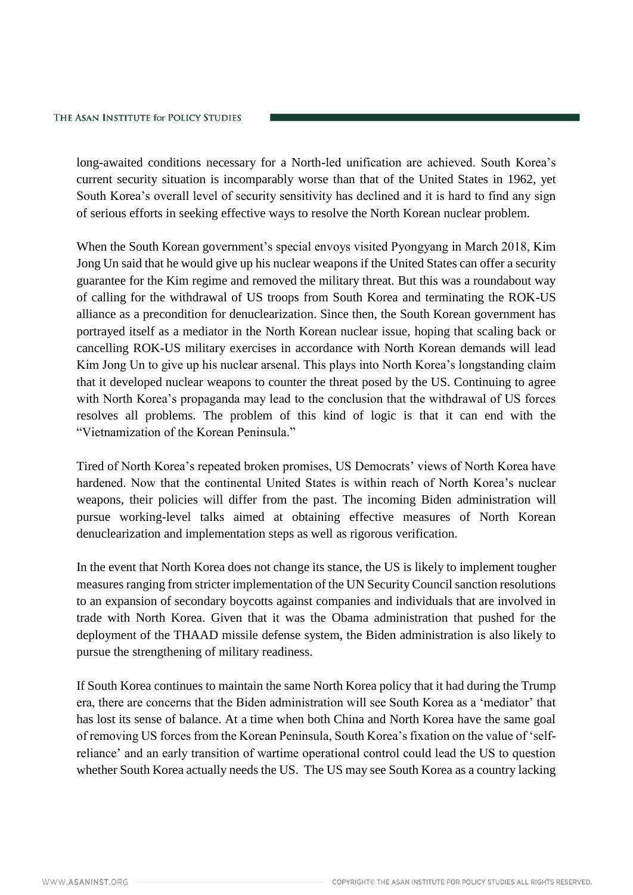long-awaited conditions necessary for a North-led unification are achieved. South Korea's current security situation is incomparably worse than that of the United States in 1962, yet South Korea's overall level of security sensitivity has declined and it is hard to find any sign of serious efforts in seeking effective ways to resolve the North Korean nuclear problem.

When the South Korean government's special envoys visited Pyongyang in March 2018, Kim Jong Un said that he would give up his nuclear weapons if the United States can offer a security guarantee for the Kim regime and removed the military threat. But this was a roundabout way of calling for the withdrawal of US troops from South Korea and terminating the ROK-US alliance as a precondition for denuclearization. Since then, the South Korean government has portrayed itself as a mediator in the North Korean nuclear issue, hoping that scaling back or cancelling ROK-US military exercises in accordance with North Korean demands will lead Kim Jong Un to give up his nuclear arsenal. This plays into North Korea's longstanding claim that it developed nuclear weapons to counter the threat posed by the US. Continuing to agree with North Korea's propaganda may lead to the conclusion that the withdrawal of US forces resolves all problems. The problem of this kind of logic is that it can end with the "Vietnamization of the Korean Peninsula."

Tired of North Korea's repeated broken promises, US Democrats' views of North Korea have hardened. Now that the continental United States is within reach of North Korea's nuclear weapons, their policies will differ from the past. The incoming Biden administration will pursue working-level talks aimed at obtaining effective measures of North Korean denuclearization and implementation steps as well as rigorous verification.

In the event that North Korea does not change its stance, the US is likely to implement tougher measures ranging from stricter implementation of the UN Security Council sanction resolutions to an expansion of secondary boycotts against companies and individuals that are involved in trade with North Korea. Given that it was the Obama administration that pushed for the deployment of the THAAD missile defense system, the Biden administration is also likely to pursue the strengthening of military readiness.

If South Korea continues to maintain the same North Korea policy that it had during the Trump era, there are concerns that the Biden administration will see South Korea as a 'mediator' that has lost its sense of balance. At a time when both China and North Korea have the same goal of removing US forces from the Korean Peninsula, South Korea's fixation on the value of 'selfreliance' and an early transition of wartime operational control could lead the US to question whether South Korea actually needs the US. The US may see South Korea as a country lacking